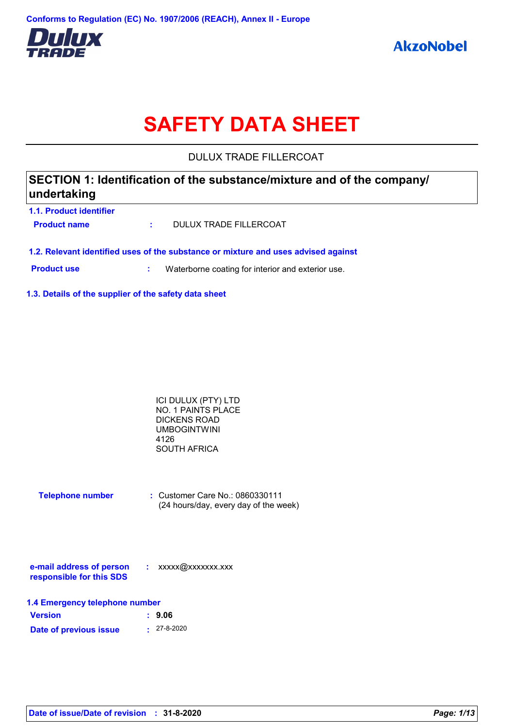

# **SAFETY DATA SHEET**

DULUX TRADE FILLERCOAT

# **SECTION 1: Identification of the substance/mixture and of the company/ undertaking**

**1.1. Product identifier Product name :** DULUX TRADE FILLERCOAT

**1.2. Relevant identified uses of the substance or mixture and uses advised against**

**Product use <b>:** Waterborne coating for interior and exterior use.

**1.3. Details of the supplier of the safety data sheet**

| ICI DULUX (PTY) LTD |  |
|---------------------|--|
| NO. 1 PAINTS PLACE  |  |
| DICKENS ROAD        |  |
| UMBOGINTWINI        |  |
| 4126                |  |
| SOUTH AFRICA        |  |
|                     |  |

| <b>Telephone number</b> | $\therefore$ Customer Care No.: 0860330111 |
|-------------------------|--------------------------------------------|
|                         | (24 hours/day, every day of the week)      |

| e-mail address of person | xxxxx@xxxxxxx.xxx |
|--------------------------|-------------------|
| responsible for this SDS |                   |

| 1.4 Emergency telephone number |                   |  |  |
|--------------------------------|-------------------|--|--|
| <b>Version</b>                 | : 9.06            |  |  |
| Date of previous issue         | $\cdot$ 27-8-2020 |  |  |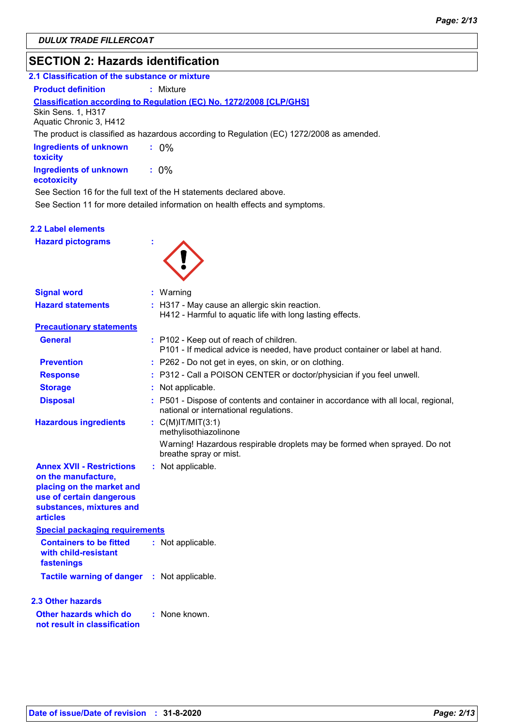# **SECTION 2: Hazards identification**

| 2.1 Classification of the substance or mixture                                                                                                                  |                                                                                                                              |
|-----------------------------------------------------------------------------------------------------------------------------------------------------------------|------------------------------------------------------------------------------------------------------------------------------|
| <b>Product definition</b>                                                                                                                                       | : Mixture                                                                                                                    |
| Skin Sens. 1, H317<br>Aquatic Chronic 3, H412                                                                                                                   | Classification according to Regulation (EC) No. 1272/2008 [CLP/GHS]                                                          |
|                                                                                                                                                                 | The product is classified as hazardous according to Regulation (EC) 1272/2008 as amended.                                    |
| <b>Ingredients of unknown</b><br>toxicity                                                                                                                       | $: 0\%$                                                                                                                      |
| <b>Ingredients of unknown</b><br>ecotoxicity                                                                                                                    | $: 0\%$                                                                                                                      |
|                                                                                                                                                                 | See Section 16 for the full text of the H statements declared above.                                                         |
|                                                                                                                                                                 | See Section 11 for more detailed information on health effects and symptoms.                                                 |
| 2.2 Label elements                                                                                                                                              |                                                                                                                              |
| <b>Hazard pictograms</b>                                                                                                                                        |                                                                                                                              |
|                                                                                                                                                                 |                                                                                                                              |
| <b>Signal word</b>                                                                                                                                              | : Warning                                                                                                                    |
| <b>Hazard statements</b>                                                                                                                                        | : H317 - May cause an allergic skin reaction.<br>H412 - Harmful to aquatic life with long lasting effects.                   |
| <b>Precautionary statements</b>                                                                                                                                 |                                                                                                                              |
| <b>General</b>                                                                                                                                                  | : P102 - Keep out of reach of children.<br>P101 - If medical advice is needed, have product container or label at hand.      |
| <b>Prevention</b>                                                                                                                                               | : P262 - Do not get in eyes, on skin, or on clothing.                                                                        |
| <b>Response</b>                                                                                                                                                 | : P312 - Call a POISON CENTER or doctor/physician if you feel unwell.                                                        |
| <b>Storage</b>                                                                                                                                                  | : Not applicable.                                                                                                            |
| <b>Disposal</b>                                                                                                                                                 | : P501 - Dispose of contents and container in accordance with all local, regional,<br>national or international regulations. |
| <b>Hazardous ingredients</b>                                                                                                                                    | : $C(M)$ IT/MIT $(3:1)$<br>methylisothiazolinone                                                                             |
|                                                                                                                                                                 | Warning! Hazardous respirable droplets may be formed when sprayed. Do not<br>breathe spray or mist.                          |
| <b>Annex XVII - Restrictions</b><br>on the manufacture,<br>placing on the market and<br>use of certain dangerous<br>substances, mixtures and<br><b>articles</b> | : Not applicable.                                                                                                            |
| <b>Special packaging requirements</b>                                                                                                                           |                                                                                                                              |
| <b>Containers to be fitted</b><br>with child-resistant<br>fastenings                                                                                            | : Not applicable.                                                                                                            |
| <b>Tactile warning of danger</b>                                                                                                                                | : Not applicable.                                                                                                            |
| <b>2.3 Other hazards</b>                                                                                                                                        |                                                                                                                              |
| Other hazards which do<br>not result in classification                                                                                                          | : None known.                                                                                                                |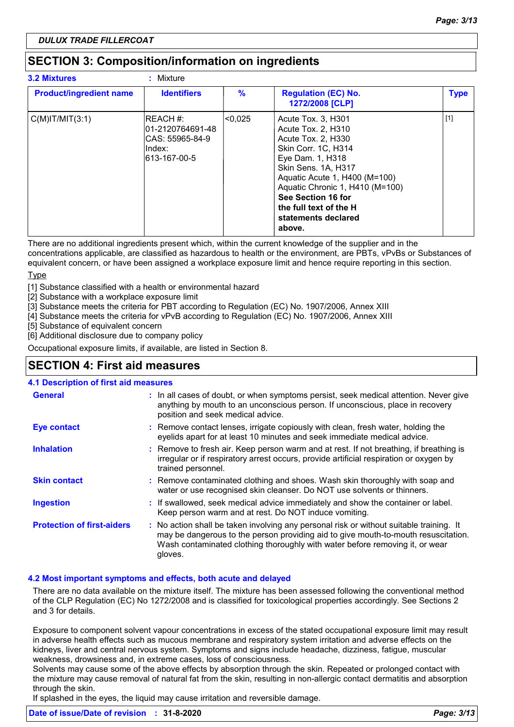# **SECTION 3: Composition/information on ingredients**

| <b>3.2 Mixtures</b>            | Mixture                                                                      |               |                                                                                                                                                                                                                                                                                              |             |
|--------------------------------|------------------------------------------------------------------------------|---------------|----------------------------------------------------------------------------------------------------------------------------------------------------------------------------------------------------------------------------------------------------------------------------------------------|-------------|
| <b>Product/ingredient name</b> | <b>Identifiers</b>                                                           | $\frac{9}{6}$ | <b>Regulation (EC) No.</b><br>1272/2008 [CLP]                                                                                                                                                                                                                                                | <b>Type</b> |
| $C(M)$ IT/MIT $(3:1)$          | IREACH #:<br>01-2120764691-48<br>ICAS: 55965-84-9<br>lIndex:<br>613-167-00-5 | l<0.025       | Acute Tox. 3, H301<br>Acute Tox. 2, H310<br>Acute Tox. 2, H330<br><b>Skin Corr. 1C. H314</b><br>Eye Dam. 1, H318<br>Skin Sens. 1A, H317<br>Aquatic Acute 1, H400 (M=100)<br>Aquatic Chronic 1, H410 (M=100)<br>See Section 16 for<br>the full text of the H<br>statements declared<br>above. | $[1]$       |

There are no additional ingredients present which, within the current knowledge of the supplier and in the concentrations applicable, are classified as hazardous to health or the environment, are PBTs, vPvBs or Substances of equivalent concern, or have been assigned a workplace exposure limit and hence require reporting in this section. **Type** 

[1] Substance classified with a health or environmental hazard

[2] Substance with a workplace exposure limit

[3] Substance meets the criteria for PBT according to Regulation (EC) No. 1907/2006, Annex XIII

[4] Substance meets the criteria for vPvB according to Regulation (EC) No. 1907/2006, Annex XIII

[5] Substance of equivalent concern

[6] Additional disclosure due to company policy

Occupational exposure limits, if available, are listed in Section 8.

# **SECTION 4: First aid measures**

### **4.1 Description of first aid measures**

| <b>General</b>                    | : In all cases of doubt, or when symptoms persist, seek medical attention. Never give<br>anything by mouth to an unconscious person. If unconscious, place in recovery<br>position and seek medical advice.                                                              |
|-----------------------------------|--------------------------------------------------------------------------------------------------------------------------------------------------------------------------------------------------------------------------------------------------------------------------|
| <b>Eye contact</b>                | : Remove contact lenses, irrigate copiously with clean, fresh water, holding the<br>eyelids apart for at least 10 minutes and seek immediate medical advice.                                                                                                             |
| <b>Inhalation</b>                 | : Remove to fresh air. Keep person warm and at rest. If not breathing, if breathing is<br>irregular or if respiratory arrest occurs, provide artificial respiration or oxygen by<br>trained personnel.                                                                   |
| <b>Skin contact</b>               | : Remove contaminated clothing and shoes. Wash skin thoroughly with soap and<br>water or use recognised skin cleanser. Do NOT use solvents or thinners.                                                                                                                  |
| <b>Ingestion</b>                  | : If swallowed, seek medical advice immediately and show the container or label.<br>Keep person warm and at rest. Do NOT induce vomiting.                                                                                                                                |
| <b>Protection of first-aiders</b> | : No action shall be taken involving any personal risk or without suitable training. It<br>may be dangerous to the person providing aid to give mouth-to-mouth resuscitation.<br>Wash contaminated clothing thoroughly with water before removing it, or wear<br>gloves. |

#### **4.2 Most important symptoms and effects, both acute and delayed**

There are no data available on the mixture itself. The mixture has been assessed following the conventional method of the CLP Regulation (EC) No 1272/2008 and is classified for toxicological properties accordingly. See Sections 2 and 3 for details.

Exposure to component solvent vapour concentrations in excess of the stated occupational exposure limit may result in adverse health effects such as mucous membrane and respiratory system irritation and adverse effects on the kidneys, liver and central nervous system. Symptoms and signs include headache, dizziness, fatigue, muscular weakness, drowsiness and, in extreme cases, loss of consciousness.

Solvents may cause some of the above effects by absorption through the skin. Repeated or prolonged contact with the mixture may cause removal of natural fat from the skin, resulting in non-allergic contact dermatitis and absorption through the skin.

If splashed in the eyes, the liquid may cause irritation and reversible damage.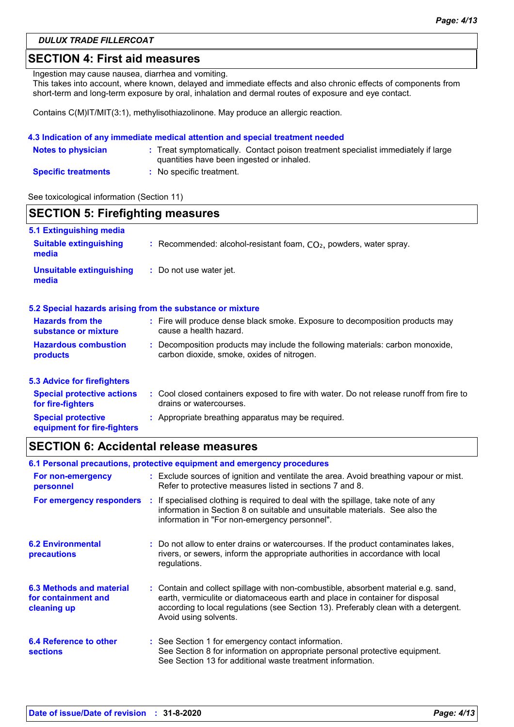# **SECTION 4: First aid measures**

Ingestion may cause nausea, diarrhea and vomiting.

This takes into account, where known, delayed and immediate effects and also chronic effects of components from short-term and long-term exposure by oral, inhalation and dermal routes of exposure and eye contact.

Contains C(M)IT/MIT(3:1), methylisothiazolinone. May produce an allergic reaction.

#### **4.3 Indication of any immediate medical attention and special treatment needed**

| <b>Notes to physician</b>  | : Treat symptomatically. Contact poison treatment specialist immediately if large<br>quantities have been ingested or inhaled. |
|----------------------------|--------------------------------------------------------------------------------------------------------------------------------|
| <b>Specific treatments</b> | : No specific treatment.                                                                                                       |

See toxicological information (Section 11)

| <b>SECTION 5: Firefighting measures</b>                  |                                                                                                                              |  |
|----------------------------------------------------------|------------------------------------------------------------------------------------------------------------------------------|--|
| 5.1 Extinguishing media                                  |                                                                                                                              |  |
| <b>Suitable extinguishing</b><br>media                   | : Recommended: alcohol-resistant foam, $CO2$ , powders, water spray.                                                         |  |
| <b>Unsuitable extinguishing</b><br>media                 | : Do not use water jet.                                                                                                      |  |
|                                                          | 5.2 Special hazards arising from the substance or mixture                                                                    |  |
| <b>Hazards from the</b><br>substance or mixture          | : Fire will produce dense black smoke. Exposure to decomposition products may<br>cause a health hazard.                      |  |
| <b>Hazardous combustion</b><br>products                  | : Decomposition products may include the following materials: carbon monoxide,<br>carbon dioxide, smoke, oxides of nitrogen. |  |
| <b>5.3 Advice for firefighters</b>                       |                                                                                                                              |  |
| <b>Special protective actions</b><br>for fire-fighters   | : Cool closed containers exposed to fire with water. Do not release runoff from fire to<br>drains or watercourses.           |  |
| <b>Special protective</b><br>equipment for fire-fighters | : Appropriate breathing apparatus may be required.                                                                           |  |

# **SECTION 6: Accidental release measures**

| 6.1 Personal precautions, protective equipment and emergency procedures |  |                                                                                                                                                                                                                                                                                    |  |
|-------------------------------------------------------------------------|--|------------------------------------------------------------------------------------------------------------------------------------------------------------------------------------------------------------------------------------------------------------------------------------|--|
| For non-emergency<br>personnel                                          |  | : Exclude sources of ignition and ventilate the area. Avoid breathing vapour or mist.<br>Refer to protective measures listed in sections 7 and 8.                                                                                                                                  |  |
| For emergency responders                                                |  | : If specialised clothing is required to deal with the spillage, take note of any<br>information in Section 8 on suitable and unsuitable materials. See also the<br>information in "For non-emergency personnel".                                                                  |  |
| <b>6.2 Environmental</b><br>precautions                                 |  | : Do not allow to enter drains or watercourses. If the product contaminates lakes,<br>rivers, or sewers, inform the appropriate authorities in accordance with local<br>regulations.                                                                                               |  |
| 6.3 Methods and material<br>for containment and<br>cleaning up          |  | : Contain and collect spillage with non-combustible, absorbent material e.g. sand,<br>earth, vermiculite or diatomaceous earth and place in container for disposal<br>according to local regulations (see Section 13). Preferably clean with a detergent.<br>Avoid using solvents. |  |
| 6.4 Reference to other<br><b>sections</b>                               |  | : See Section 1 for emergency contact information.<br>See Section 8 for information on appropriate personal protective equipment.<br>See Section 13 for additional waste treatment information.                                                                                    |  |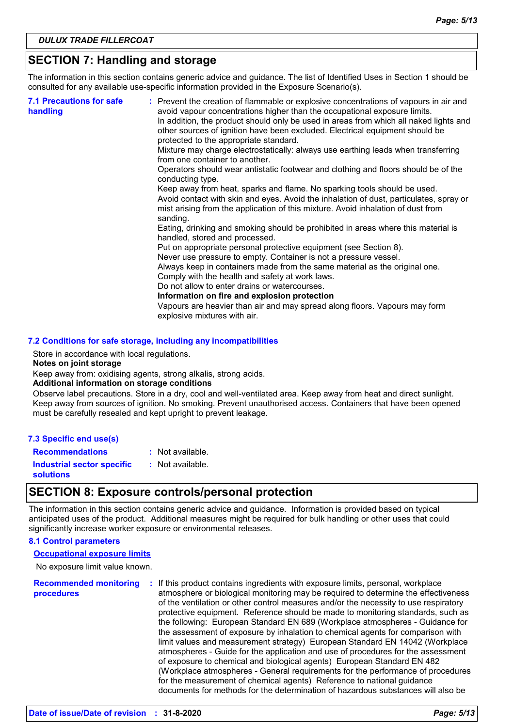# **SECTION 7: Handling and storage**

The information in this section contains generic advice and guidance. The list of Identified Uses in Section 1 should be consulted for any available use-specific information provided in the Exposure Scenario(s).

| <b>7.1 Precautions for safe</b><br>handling | : Prevent the creation of flammable or explosive concentrations of vapours in air and<br>avoid vapour concentrations higher than the occupational exposure limits.<br>In addition, the product should only be used in areas from which all naked lights and<br>other sources of ignition have been excluded. Electrical equipment should be<br>protected to the appropriate standard.<br>Mixture may charge electrostatically: always use earthing leads when transferring<br>from one container to another.<br>Operators should wear antistatic footwear and clothing and floors should be of the<br>conducting type.<br>Keep away from heat, sparks and flame. No sparking tools should be used.<br>Avoid contact with skin and eyes. Avoid the inhalation of dust, particulates, spray or<br>mist arising from the application of this mixture. Avoid inhalation of dust from<br>sanding.<br>Eating, drinking and smoking should be prohibited in areas where this material is<br>handled, stored and processed.<br>Put on appropriate personal protective equipment (see Section 8).<br>Never use pressure to empty. Container is not a pressure vessel.<br>Always keep in containers made from the same material as the original one.<br>Comply with the health and safety at work laws.<br>Do not allow to enter drains or watercourses.<br>Information on fire and explosion protection<br>Vapours are heavier than air and may spread along floors. Vapours may form |
|---------------------------------------------|------------------------------------------------------------------------------------------------------------------------------------------------------------------------------------------------------------------------------------------------------------------------------------------------------------------------------------------------------------------------------------------------------------------------------------------------------------------------------------------------------------------------------------------------------------------------------------------------------------------------------------------------------------------------------------------------------------------------------------------------------------------------------------------------------------------------------------------------------------------------------------------------------------------------------------------------------------------------------------------------------------------------------------------------------------------------------------------------------------------------------------------------------------------------------------------------------------------------------------------------------------------------------------------------------------------------------------------------------------------------------------------------------------------------------------------------------------------------------|
|                                             | explosive mixtures with air.                                                                                                                                                                                                                                                                                                                                                                                                                                                                                                                                                                                                                                                                                                                                                                                                                                                                                                                                                                                                                                                                                                                                                                                                                                                                                                                                                                                                                                                 |

#### **7.2 Conditions for safe storage, including any incompatibilities**

Store in accordance with local regulations.

#### **Notes on joint storage**

Keep away from: oxidising agents, strong alkalis, strong acids.

#### **Additional information on storage conditions**

Observe label precautions. Store in a dry, cool and well-ventilated area. Keep away from heat and direct sunlight. Keep away from sources of ignition. No smoking. Prevent unauthorised access. Containers that have been opened must be carefully resealed and kept upright to prevent leakage.

#### **7.3 Specific end use(s)**

**Recommendations :** Not available.

**Industrial sector specific : solutions**

: Not available.

# **SECTION 8: Exposure controls/personal protection**

The information in this section contains generic advice and guidance. Information is provided based on typical anticipated uses of the product. Additional measures might be required for bulk handling or other uses that could significantly increase worker exposure or environmental releases.

#### **8.1 Control parameters**

#### **Occupational exposure limits**

No exposure limit value known.

**Recommended monitoring procedures :** If this product contains ingredients with exposure limits, personal, workplace atmosphere or biological monitoring may be required to determine the effectiveness of the ventilation or other control measures and/or the necessity to use respiratory protective equipment. Reference should be made to monitoring standards, such as the following: European Standard EN 689 (Workplace atmospheres - Guidance for the assessment of exposure by inhalation to chemical agents for comparison with limit values and measurement strategy) European Standard EN 14042 (Workplace atmospheres - Guide for the application and use of procedures for the assessment of exposure to chemical and biological agents) European Standard EN 482 (Workplace atmospheres - General requirements for the performance of procedures for the measurement of chemical agents) Reference to national guidance documents for methods for the determination of hazardous substances will also be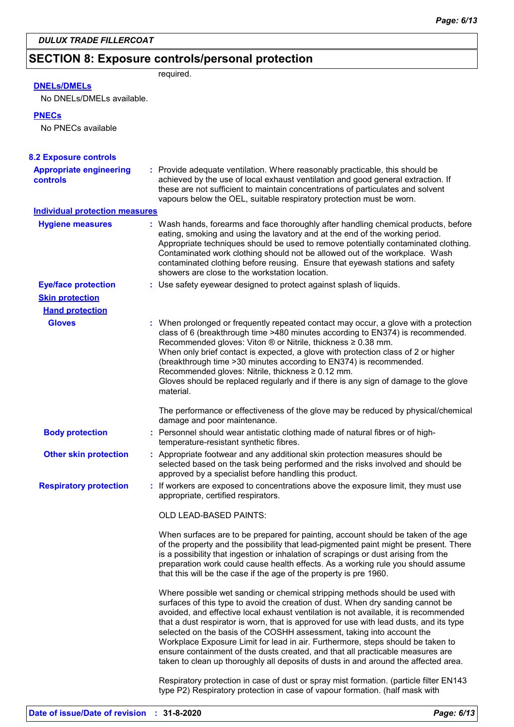# **SECTION 8: Exposure controls/personal protection** required.

# **DNELs/DMELs**

No DNELs/DMELs available.

### **PNECs**

No PNECs available

| <b>8.2 Exposure controls</b>                      |                                                                                                                                                                                                                                                                                                                                                                                                                                                                                                                                                                                                                                                                                         |
|---------------------------------------------------|-----------------------------------------------------------------------------------------------------------------------------------------------------------------------------------------------------------------------------------------------------------------------------------------------------------------------------------------------------------------------------------------------------------------------------------------------------------------------------------------------------------------------------------------------------------------------------------------------------------------------------------------------------------------------------------------|
| <b>Appropriate engineering</b><br><b>controls</b> | : Provide adequate ventilation. Where reasonably practicable, this should be<br>achieved by the use of local exhaust ventilation and good general extraction. If<br>these are not sufficient to maintain concentrations of particulates and solvent<br>vapours below the OEL, suitable respiratory protection must be worn.                                                                                                                                                                                                                                                                                                                                                             |
| <b>Individual protection measures</b>             |                                                                                                                                                                                                                                                                                                                                                                                                                                                                                                                                                                                                                                                                                         |
| <b>Hygiene measures</b>                           | : Wash hands, forearms and face thoroughly after handling chemical products, before<br>eating, smoking and using the lavatory and at the end of the working period.<br>Appropriate techniques should be used to remove potentially contaminated clothing.<br>Contaminated work clothing should not be allowed out of the workplace. Wash<br>contaminated clothing before reusing. Ensure that eyewash stations and safety<br>showers are close to the workstation location.                                                                                                                                                                                                             |
| <b>Eye/face protection</b>                        | : Use safety eyewear designed to protect against splash of liquids.                                                                                                                                                                                                                                                                                                                                                                                                                                                                                                                                                                                                                     |
| <b>Skin protection</b>                            |                                                                                                                                                                                                                                                                                                                                                                                                                                                                                                                                                                                                                                                                                         |
| <b>Hand protection</b>                            |                                                                                                                                                                                                                                                                                                                                                                                                                                                                                                                                                                                                                                                                                         |
| <b>Gloves</b>                                     | : When prolonged or frequently repeated contact may occur, a glove with a protection<br>class of 6 (breakthrough time >480 minutes according to EN374) is recommended.<br>Recommended gloves: Viton ® or Nitrile, thickness ≥ 0.38 mm.<br>When only brief contact is expected, a glove with protection class of 2 or higher<br>(breakthrough time > 30 minutes according to EN374) is recommended.<br>Recommended gloves: Nitrile, thickness ≥ 0.12 mm.<br>Gloves should be replaced regularly and if there is any sign of damage to the glove<br>material.                                                                                                                             |
|                                                   | The performance or effectiveness of the glove may be reduced by physical/chemical<br>damage and poor maintenance.                                                                                                                                                                                                                                                                                                                                                                                                                                                                                                                                                                       |
| <b>Body protection</b>                            | : Personnel should wear antistatic clothing made of natural fibres or of high-<br>temperature-resistant synthetic fibres.                                                                                                                                                                                                                                                                                                                                                                                                                                                                                                                                                               |
| <b>Other skin protection</b>                      | : Appropriate footwear and any additional skin protection measures should be<br>selected based on the task being performed and the risks involved and should be<br>approved by a specialist before handling this product.                                                                                                                                                                                                                                                                                                                                                                                                                                                               |
| <b>Respiratory protection</b>                     | : If workers are exposed to concentrations above the exposure limit, they must use<br>appropriate, certified respirators.                                                                                                                                                                                                                                                                                                                                                                                                                                                                                                                                                               |
|                                                   | <b>OLD LEAD-BASED PAINTS:</b>                                                                                                                                                                                                                                                                                                                                                                                                                                                                                                                                                                                                                                                           |
|                                                   | When surfaces are to be prepared for painting, account should be taken of the age<br>of the property and the possibility that lead-pigmented paint might be present. There<br>is a possibility that ingestion or inhalation of scrapings or dust arising from the<br>preparation work could cause health effects. As a working rule you should assume<br>that this will be the case if the age of the property is pre 1960.                                                                                                                                                                                                                                                             |
|                                                   | Where possible wet sanding or chemical stripping methods should be used with<br>surfaces of this type to avoid the creation of dust. When dry sanding cannot be<br>avoided, and effective local exhaust ventilation is not available, it is recommended<br>that a dust respirator is worn, that is approved for use with lead dusts, and its type<br>selected on the basis of the COSHH assessment, taking into account the<br>Workplace Exposure Limit for lead in air. Furthermore, steps should be taken to<br>ensure containment of the dusts created, and that all practicable measures are<br>taken to clean up thoroughly all deposits of dusts in and around the affected area. |
|                                                   | Respiratory protection in case of dust or spray mist formation. (particle filter EN143<br>type P2) Respiratory protection in case of vapour formation. (half mask with                                                                                                                                                                                                                                                                                                                                                                                                                                                                                                                  |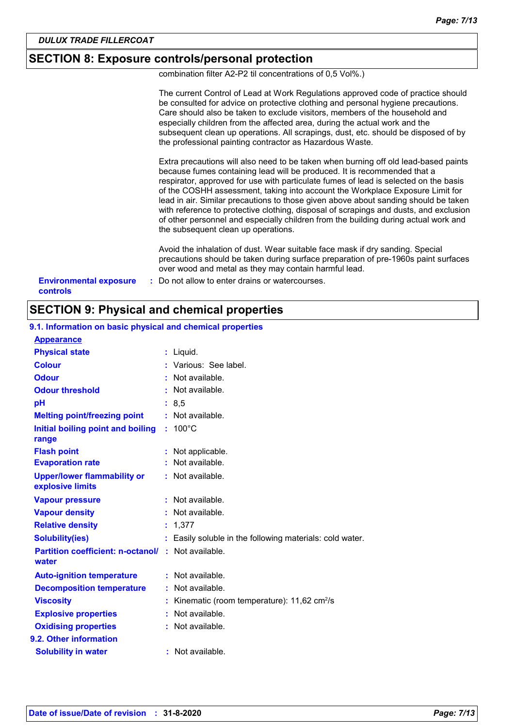# **SECTION 8: Exposure controls/personal protection**

combination filter A2-P2 til concentrations of 0,5 Vol%.)

|                                           | The current Control of Lead at Work Regulations approved code of practice should<br>be consulted for advice on protective clothing and personal hygiene precautions.<br>Care should also be taken to exclude visitors, members of the household and<br>especially children from the affected area, during the actual work and the<br>subsequent clean up operations. All scrapings, dust, etc. should be disposed of by<br>the professional painting contractor as Hazardous Waste.                                                                                                                                                                    |
|-------------------------------------------|--------------------------------------------------------------------------------------------------------------------------------------------------------------------------------------------------------------------------------------------------------------------------------------------------------------------------------------------------------------------------------------------------------------------------------------------------------------------------------------------------------------------------------------------------------------------------------------------------------------------------------------------------------|
|                                           | Extra precautions will also need to be taken when burning off old lead-based paints<br>because fumes containing lead will be produced. It is recommended that a<br>respirator, approved for use with particulate fumes of lead is selected on the basis<br>of the COSHH assessment, taking into account the Workplace Exposure Limit for<br>lead in air. Similar precautions to those given above about sanding should be taken<br>with reference to protective clothing, disposal of scrapings and dusts, and exclusion<br>of other personnel and especially children from the building during actual work and<br>the subsequent clean up operations. |
|                                           | Avoid the inhalation of dust. Wear suitable face mask if dry sanding. Special<br>precautions should be taken during surface preparation of pre-1960s paint surfaces<br>over wood and metal as they may contain harmful lead.                                                                                                                                                                                                                                                                                                                                                                                                                           |
| <b>Environmental exposure</b><br>controls | : Do not allow to enter drains or watercourses.                                                                                                                                                                                                                                                                                                                                                                                                                                                                                                                                                                                                        |

# **SECTION 9: Physical and chemical properties**

| <b>Appearance</b>                                      |    |                                                          |
|--------------------------------------------------------|----|----------------------------------------------------------|
| <b>Physical state</b>                                  |    | : Liquid.                                                |
| <b>Colour</b>                                          |    | : Various: See label.                                    |
| <b>Odour</b>                                           |    | : Not available.                                         |
| <b>Odour threshold</b>                                 |    | : Not available.                                         |
| pH                                                     |    | : 8.5                                                    |
| <b>Melting point/freezing point</b>                    |    | : Not available.                                         |
| Initial boiling point and boiling<br>range             | t. | $100^{\circ}$ C                                          |
| <b>Flash point</b>                                     |    | : Not applicable.                                        |
| <b>Evaporation rate</b>                                |    | : Not available.                                         |
| <b>Upper/lower flammability or</b><br>explosive limits |    | : Not available.                                         |
| <b>Vapour pressure</b>                                 |    | : Not available.                                         |
| <b>Vapour density</b>                                  |    | : Not available.                                         |
| <b>Relative density</b>                                | t. | 1,377                                                    |
| <b>Solubility(ies)</b>                                 | t. | Easily soluble in the following materials: cold water.   |
| <b>Partition coefficient: n-octanol/</b><br>water      |    | : Not available.                                         |
| <b>Auto-ignition temperature</b>                       |    | : Not available.                                         |
| <b>Decomposition temperature</b>                       |    | : Not available.                                         |
| <b>Viscosity</b>                                       |    | Kinematic (room temperature): $11,62$ cm <sup>2</sup> /s |
| <b>Explosive properties</b>                            |    | : Not available.                                         |
| <b>Oxidising properties</b>                            |    | : Not available.                                         |
| 9.2. Other information                                 |    |                                                          |
| <b>Solubility in water</b>                             |    | $:$ Not available.                                       |

# **9.1. Information on basic physical and chemical properties**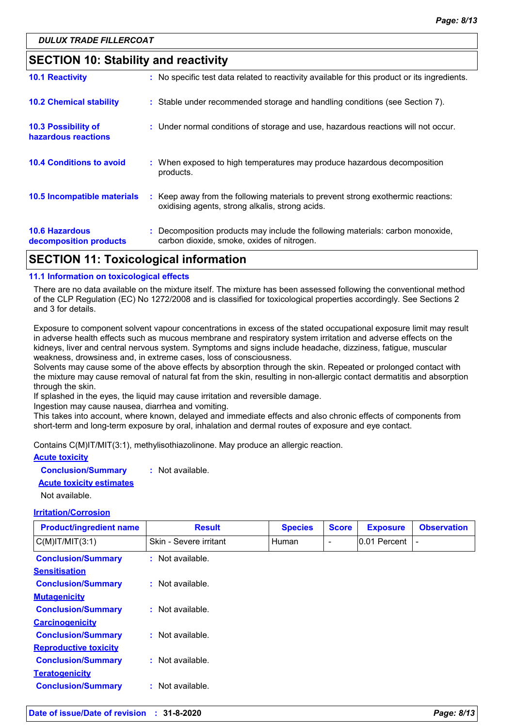# **SECTION 10: Stability and reactivity**

| APARIALI <i>II</i>                              | .                                                                                                                                   |
|-------------------------------------------------|-------------------------------------------------------------------------------------------------------------------------------------|
| <b>10.6 Hazardous</b><br>decomposition products | : Decomposition products may include the following materials: carbon monoxide,<br>carbon dioxide, smoke, oxides of nitrogen.        |
| 10.5 Incompatible materials                     | : Keep away from the following materials to prevent strong exothermic reactions:<br>oxidising agents, strong alkalis, strong acids. |
| <b>10.4 Conditions to avoid</b>                 | : When exposed to high temperatures may produce hazardous decomposition<br>products.                                                |
| 10.3 Possibility of<br>hazardous reactions      | : Under normal conditions of storage and use, hazardous reactions will not occur.                                                   |
| <b>10.2 Chemical stability</b>                  | : Stable under recommended storage and handling conditions (see Section 7).                                                         |
| <b>10.1 Reactivity</b>                          | : No specific test data related to reactivity available for this product or its ingredients.                                        |

# **SECTION 11: Toxicological information**

#### **11.1 Information on toxicological effects**

There are no data available on the mixture itself. The mixture has been assessed following the conventional method of the CLP Regulation (EC) No 1272/2008 and is classified for toxicological properties accordingly. See Sections 2 and 3 for details.

Exposure to component solvent vapour concentrations in excess of the stated occupational exposure limit may result in adverse health effects such as mucous membrane and respiratory system irritation and adverse effects on the kidneys, liver and central nervous system. Symptoms and signs include headache, dizziness, fatigue, muscular weakness, drowsiness and, in extreme cases, loss of consciousness.

Solvents may cause some of the above effects by absorption through the skin. Repeated or prolonged contact with the mixture may cause removal of natural fat from the skin, resulting in non-allergic contact dermatitis and absorption through the skin.

If splashed in the eyes, the liquid may cause irritation and reversible damage.

Ingestion may cause nausea, diarrhea and vomiting.

This takes into account, where known, delayed and immediate effects and also chronic effects of components from short-term and long-term exposure by oral, inhalation and dermal routes of exposure and eye contact.

Contains C(M)IT/MIT(3:1), methylisothiazolinone. May produce an allergic reaction.

## **Acute toxicity Conclusion/Summary :** Not available.

**Acute toxicity estimates**

Not available.

#### **Irritation/Corrosion**

| <b>Product/ingredient name</b>                    | <b>Result</b>          | <b>Species</b> | <b>Score</b> | <b>Exposure</b> | <b>Observation</b> |
|---------------------------------------------------|------------------------|----------------|--------------|-----------------|--------------------|
| $C(M)$ IT/MIT $(3:1)$                             | Skin - Severe irritant | <b>Human</b>   | ۰            | 0.01 Percent    |                    |
| <b>Conclusion/Summary</b><br><b>Sensitisation</b> | : Not available.       |                |              |                 |                    |
| <b>Conclusion/Summary</b>                         | : Not available.       |                |              |                 |                    |
| <b>Mutagenicity</b>                               |                        |                |              |                 |                    |
| <b>Conclusion/Summary</b>                         | : Not available.       |                |              |                 |                    |
| <b>Carcinogenicity</b>                            |                        |                |              |                 |                    |
| <b>Conclusion/Summary</b>                         | $:$ Not available.     |                |              |                 |                    |
| <b>Reproductive toxicity</b>                      |                        |                |              |                 |                    |
| <b>Conclusion/Summary</b>                         | : Not available.       |                |              |                 |                    |
| <b>Teratogenicity</b>                             |                        |                |              |                 |                    |
| <b>Conclusion/Summary</b>                         | : Not available.       |                |              |                 |                    |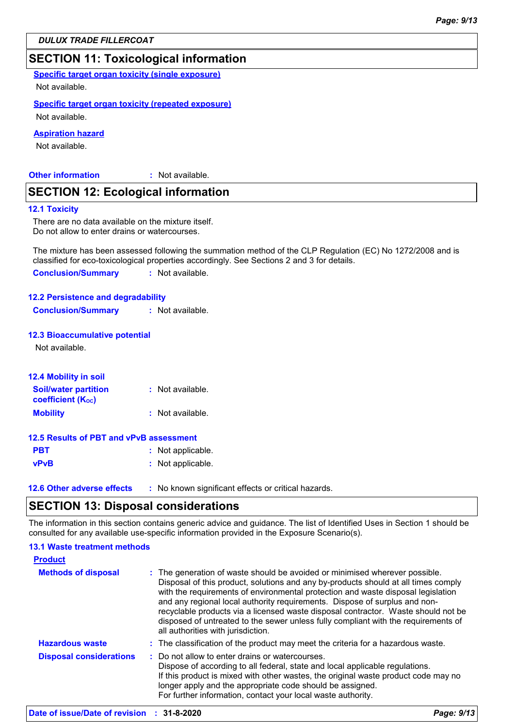# **SECTION 11: Toxicological information**

**Specific target organ toxicity (single exposure)**

Not available.

### **Specific target organ toxicity (repeated exposure)**

Not available.

### **Aspiration hazard**

Not available.

**Other information :**

: Not available.

# **SECTION 12: Ecological information**

#### **12.1 Toxicity**

There are no data available on the mixture itself. Do not allow to enter drains or watercourses.

The mixture has been assessed following the summation method of the CLP Regulation (EC) No 1272/2008 and is classified for eco-toxicological properties accordingly. See Sections 2 and 3 for details.

**Conclusion/Summary :** Not available.

#### **12.2 Persistence and degradability**

| <b>Conclusion/Summary</b> | : Not available. |
|---------------------------|------------------|
|---------------------------|------------------|

#### **12.3 Bioaccumulative potential**

Not available.

| <b>12.4 Mobility in soil</b>                            |                  |
|---------------------------------------------------------|------------------|
| <b>Soil/water partition</b><br><b>coefficient (Koc)</b> | : Not available. |
| <b>Mobility</b>                                         | : Not available. |

| 12.5 Results of PBT and vPvB assessment |                   |
|-----------------------------------------|-------------------|
| <b>PBT</b>                              | : Not applicable. |
| <b>vPvB</b>                             | : Not applicable. |

**12.6 Other adverse effects** : No known significant effects or critical hazards.

# **SECTION 13: Disposal considerations**

The information in this section contains generic advice and guidance. The list of Identified Uses in Section 1 should be consulted for any available use-specific information provided in the Exposure Scenario(s).

| <b>Product</b>                 |                                                                                                                                                                                                                                                                                                                                                                                                                                                                                                                                                      |
|--------------------------------|------------------------------------------------------------------------------------------------------------------------------------------------------------------------------------------------------------------------------------------------------------------------------------------------------------------------------------------------------------------------------------------------------------------------------------------------------------------------------------------------------------------------------------------------------|
| <b>Methods of disposal</b>     | : The generation of waste should be avoided or minimised wherever possible.<br>Disposal of this product, solutions and any by-products should at all times comply<br>with the requirements of environmental protection and waste disposal legislation<br>and any regional local authority requirements. Dispose of surplus and non-<br>recyclable products via a licensed waste disposal contractor. Waste should not be<br>disposed of untreated to the sewer unless fully compliant with the requirements of<br>all authorities with jurisdiction. |
| <b>Hazardous waste</b>         | : The classification of the product may meet the criteria for a hazardous waste.                                                                                                                                                                                                                                                                                                                                                                                                                                                                     |
| <b>Disposal considerations</b> | : Do not allow to enter drains or watercourses.<br>Dispose of according to all federal, state and local applicable regulations.<br>If this product is mixed with other wastes, the original waste product code may no<br>longer apply and the appropriate code should be assigned.<br>For further information, contact your local waste authority.                                                                                                                                                                                                   |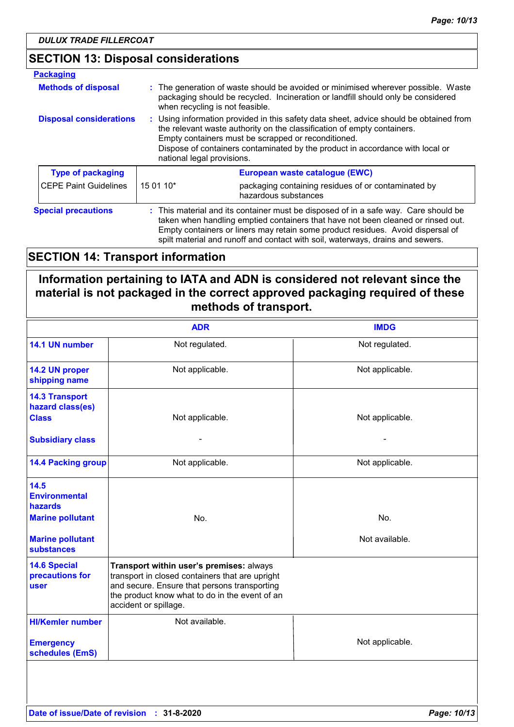# **SECTION 13: Disposal considerations**

| <b>Packaging</b>                                                                                                                                                                                                                                                                                                                                                          |           |                                                                                                                                                                                                                                                                                                                                              |
|---------------------------------------------------------------------------------------------------------------------------------------------------------------------------------------------------------------------------------------------------------------------------------------------------------------------------------------------------------------------------|-----------|----------------------------------------------------------------------------------------------------------------------------------------------------------------------------------------------------------------------------------------------------------------------------------------------------------------------------------------------|
| <b>Methods of disposal</b>                                                                                                                                                                                                                                                                                                                                                |           | : The generation of waste should be avoided or minimised wherever possible. Waste<br>packaging should be recycled. Incineration or landfill should only be considered<br>when recycling is not feasible.                                                                                                                                     |
| : Using information provided in this safety data sheet, advice should be obtained from<br><b>Disposal considerations</b><br>the relevant waste authority on the classification of empty containers.<br>Empty containers must be scrapped or reconditioned.<br>Dispose of containers contaminated by the product in accordance with local or<br>national legal provisions. |           |                                                                                                                                                                                                                                                                                                                                              |
| <b>Type of packaging</b>                                                                                                                                                                                                                                                                                                                                                  |           | European waste catalogue (EWC)                                                                                                                                                                                                                                                                                                               |
| <b>CEPE Paint Guidelines</b>                                                                                                                                                                                                                                                                                                                                              | 15 01 10* | packaging containing residues of or contaminated by<br>hazardous substances                                                                                                                                                                                                                                                                  |
| <b>Special precautions</b>                                                                                                                                                                                                                                                                                                                                                |           | : This material and its container must be disposed of in a safe way. Care should be<br>taken when handling emptied containers that have not been cleaned or rinsed out.<br>Empty containers or liners may retain some product residues. Avoid dispersal of<br>spilt material and runoff and contact with soil, waterways, drains and sewers. |

# **SECTION 14: Transport information**

# **Information pertaining to IATA and ADN is considered not relevant since the material is not packaged in the correct approved packaging required of these methods of transport.**

|                                                           | <b>ADR</b>                                                                                                                                                                                                             | <b>IMDG</b>     |
|-----------------------------------------------------------|------------------------------------------------------------------------------------------------------------------------------------------------------------------------------------------------------------------------|-----------------|
| 14.1 UN number                                            | Not regulated.                                                                                                                                                                                                         | Not regulated.  |
| 14.2 UN proper<br>shipping name                           | Not applicable.                                                                                                                                                                                                        | Not applicable. |
| <b>14.3 Transport</b><br>hazard class(es)<br><b>Class</b> | Not applicable.                                                                                                                                                                                                        | Not applicable. |
| <b>Subsidiary class</b>                                   |                                                                                                                                                                                                                        |                 |
| <b>14.4 Packing group</b>                                 | Not applicable.                                                                                                                                                                                                        | Not applicable. |
| 14.5<br><b>Environmental</b><br>hazards                   |                                                                                                                                                                                                                        |                 |
| <b>Marine pollutant</b>                                   | No.                                                                                                                                                                                                                    | No.             |
| <b>Marine pollutant</b><br><b>substances</b>              |                                                                                                                                                                                                                        | Not available.  |
| <b>14.6 Special</b><br>precautions for<br><b>user</b>     | Transport within user's premises: always<br>transport in closed containers that are upright<br>and secure. Ensure that persons transporting<br>the product know what to do in the event of an<br>accident or spillage. |                 |
| <b>HI/Kemler number</b>                                   | Not available.                                                                                                                                                                                                         |                 |
| <b>Emergency</b><br>schedules (EmS)                       |                                                                                                                                                                                                                        | Not applicable. |
|                                                           |                                                                                                                                                                                                                        |                 |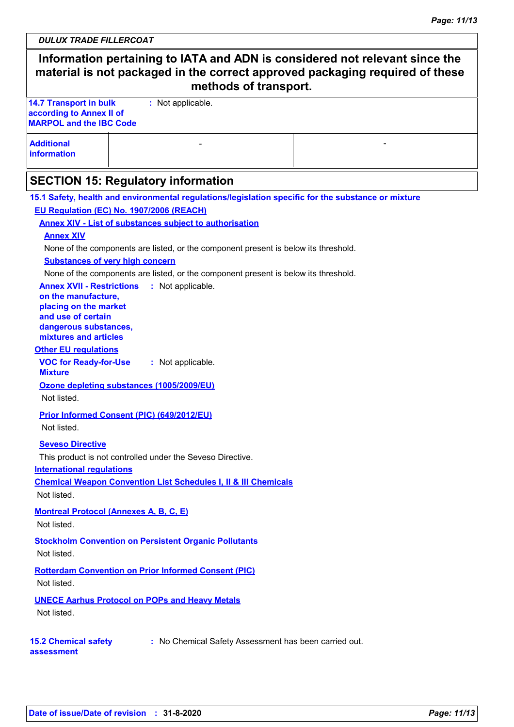# **Information pertaining to IATA and ADN is considered not relevant since the material is not packaged in the correct approved packaging required of these methods of transport. 14.7 Transport in bulk according to Annex II of MARPOL and the IBC Code :** Not applicable. **Additional information** - Andrea Maria (1989), a construction of the construction of the construction of the construction of the construction of the construction of the construction of the construction of the construction of the construction of t **SECTION 15: Regulatory information VOC for Ready-for-Use Mixture :** Not applicable. **15.1 Safety, health and environmental regulations/legislation specific for the substance or mixture Other EU regulations Annex XVII - Restrictions : Not applicable. on the manufacture, placing on the market and use of certain dangerous substances, mixtures and articles International regulations EU Regulation (EC) No. 1907/2006 (REACH) Annex XIV - List of substances subject to authorisation 15.2 Chemical safety assessment :** No Chemical Safety Assessment has been carried out. **Annex XIV Substances of very high concern** None of the components are listed, or the component present is below its threshold. None of the components are listed, or the component present is below its threshold. **Seveso Directive** This product is not controlled under the Seveso Directive. **Chemical Weapon Convention List Schedules I, II & III Chemicals Montreal Protocol (Annexes A, B, C, E)** Not listed. **Stockholm Convention on Persistent Organic Pollutants** Not listed. **Rotterdam Convention on Prior Informed Consent (PIC)** Not listed. Not listed. **UNECE Aarhus Protocol on POPs and Heavy Metals** Not listed. **Ozone depleting substances (1005/2009/EU)** Not listed. **Prior Informed Consent (PIC) (649/2012/EU)** Not listed.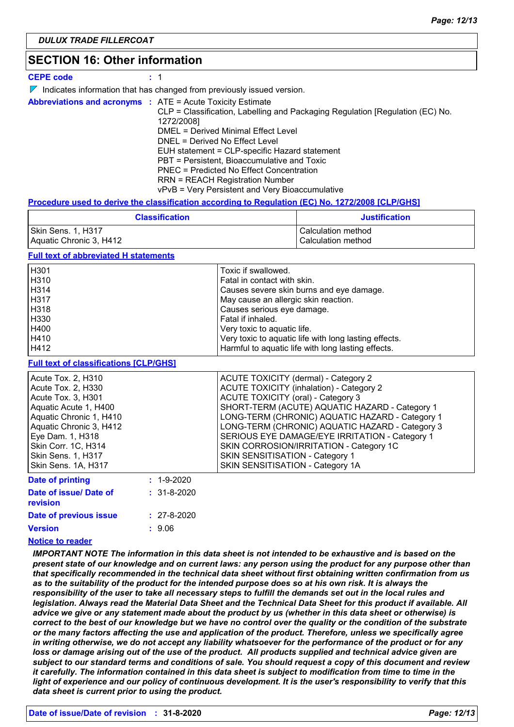# **SECTION 16: Other information**

#### **CEPE code :** 1

| $\nabla$ Indicates information that has changed from previously issued version. |  |
|---------------------------------------------------------------------------------|--|
|---------------------------------------------------------------------------------|--|

|  | <b>Abbreviations and acronyms : ATE = Acute Toxicity Estimate</b>             |
|--|-------------------------------------------------------------------------------|
|  | CLP = Classification, Labelling and Packaging Regulation [Regulation (EC) No. |
|  | 1272/2008]                                                                    |
|  | DMEL = Derived Minimal Effect Level                                           |
|  | DNEL = Derived No Effect Level                                                |
|  | EUH statement = CLP-specific Hazard statement                                 |
|  | PBT = Persistent, Bioaccumulative and Toxic                                   |
|  | PNEC = Predicted No Effect Concentration                                      |
|  | <b>RRN = REACH Registration Number</b>                                        |
|  | vPvB = Very Persistent and Very Bioaccumulative                               |

#### **Procedure used to derive the classification according to Regulation (EC) No. 1272/2008 [CLP/GHS]**

| <b>Classification</b>   | <b>Justification</b> |  |
|-------------------------|----------------------|--|
| Skin Sens. 1, H317      | Calculation method   |  |
| Aquatic Chronic 3, H412 | Calculation method   |  |

#### **Full text of abbreviated H statements**

| H <sub>301</sub> | Toxic if swallowed.                                   |
|------------------|-------------------------------------------------------|
| H310             | Fatal in contact with skin.                           |
| H314             | Causes severe skin burns and eye damage.              |
| H317             | May cause an allergic skin reaction.                  |
| H318             | Causes serious eye damage.                            |
| H330             | Fatal if inhaled.                                     |
| H400             | Very toxic to aquatic life.                           |
| H410             | Very toxic to aquatic life with long lasting effects. |
| H412             | Harmful to aquatic life with long lasting effects.    |

## **Full text of classifications [CLP/GHS]**

| Acute Tox. 2, H310        | ACUTE TOXICITY (dermal) - Category 2            |
|---------------------------|-------------------------------------------------|
| Acute Tox. 2, H330        | <b>ACUTE TOXICITY (inhalation) - Category 2</b> |
| Acute Tox. 3, H301        | ACUTE TOXICITY (oral) - Category 3              |
| Aquatic Acute 1, H400     | SHORT-TERM (ACUTE) AQUATIC HAZARD - Category 1  |
| Aquatic Chronic 1, H410   | LONG-TERM (CHRONIC) AQUATIC HAZARD - Category 1 |
| Aquatic Chronic 3, H412   | LONG-TERM (CHRONIC) AQUATIC HAZARD - Category 3 |
| Eye Dam. 1, H318          | SERIOUS EYE DAMAGE/EYE IRRITATION - Category 1  |
| Skin Corr. 1C, H314       | SKIN CORROSION/IRRITATION - Category 1C         |
| <b>Skin Sens. 1, H317</b> | SKIN SENSITISATION - Category 1                 |
| Skin Sens. 1A, H317       | SKIN SENSITISATION - Category 1A                |

| $: 1 - 9 - 2020$  |
|-------------------|
| $: 31 - 8 - 2020$ |
| $: 27 - 8 - 2020$ |
| : 9.06            |
|                   |

### **Notice to reader**

*IMPORTANT NOTE The information in this data sheet is not intended to be exhaustive and is based on the present state of our knowledge and on current laws: any person using the product for any purpose other than that specifically recommended in the technical data sheet without first obtaining written confirmation from us as to the suitability of the product for the intended purpose does so at his own risk. It is always the responsibility of the user to take all necessary steps to fulfill the demands set out in the local rules and legislation. Always read the Material Data Sheet and the Technical Data Sheet for this product if available. All advice we give or any statement made about the product by us (whether in this data sheet or otherwise) is correct to the best of our knowledge but we have no control over the quality or the condition of the substrate or the many factors affecting the use and application of the product. Therefore, unless we specifically agree in writing otherwise, we do not accept any liability whatsoever for the performance of the product or for any*  loss or damage arising out of the use of the product. All products supplied and technical advice given are *subject to our standard terms and conditions of sale. You should request a copy of this document and review it carefully. The information contained in this data sheet is subject to modification from time to time in the light of experience and our policy of continuous development. It is the user's responsibility to verify that this data sheet is current prior to using the product.*